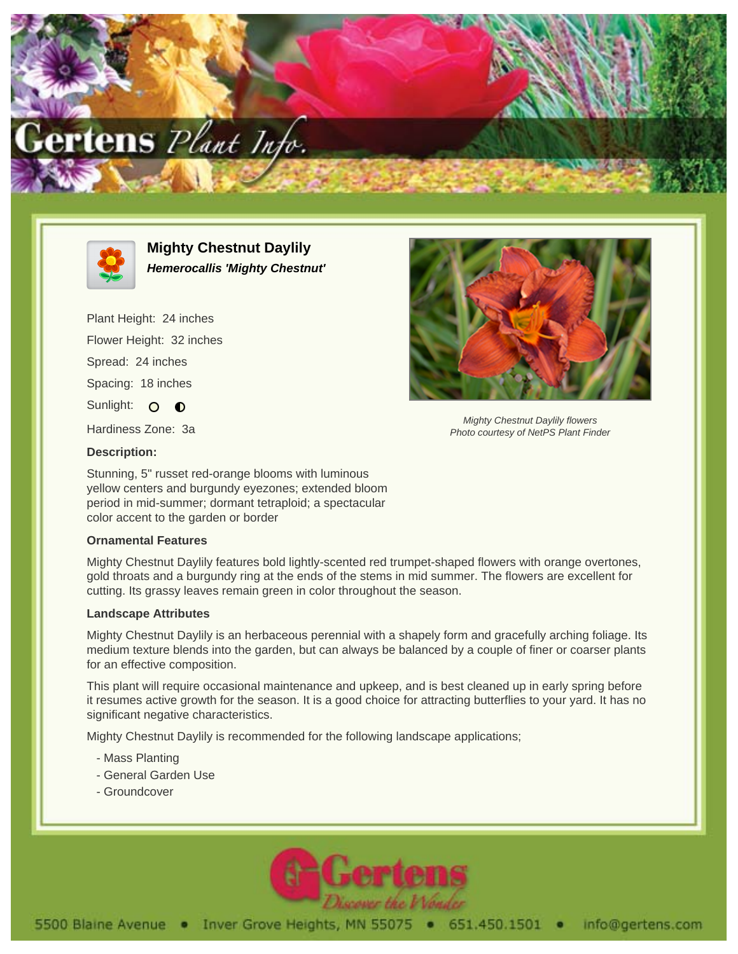



**Mighty Chestnut Daylily Hemerocallis 'Mighty Chestnut'**

Plant Height: 24 inches Flower Height: 32 inches Spread: 24 inches Spacing: 18 inches Sunlight: O O Hardiness Zone: 3a



Mighty Chestnut Daylily flowers Photo courtesy of NetPS Plant Finder

**Description:**

Stunning, 5" russet red-orange blooms with luminous yellow centers and burgundy eyezones; extended bloom period in mid-summer; dormant tetraploid; a spectacular color accent to the garden or border

## **Ornamental Features**

Mighty Chestnut Daylily features bold lightly-scented red trumpet-shaped flowers with orange overtones, gold throats and a burgundy ring at the ends of the stems in mid summer. The flowers are excellent for cutting. Its grassy leaves remain green in color throughout the season.

## **Landscape Attributes**

Mighty Chestnut Daylily is an herbaceous perennial with a shapely form and gracefully arching foliage. Its medium texture blends into the garden, but can always be balanced by a couple of finer or coarser plants for an effective composition.

This plant will require occasional maintenance and upkeep, and is best cleaned up in early spring before it resumes active growth for the season. It is a good choice for attracting butterflies to your yard. It has no significant negative characteristics.

Mighty Chestnut Daylily is recommended for the following landscape applications;

- Mass Planting
- General Garden Use
- Groundcover